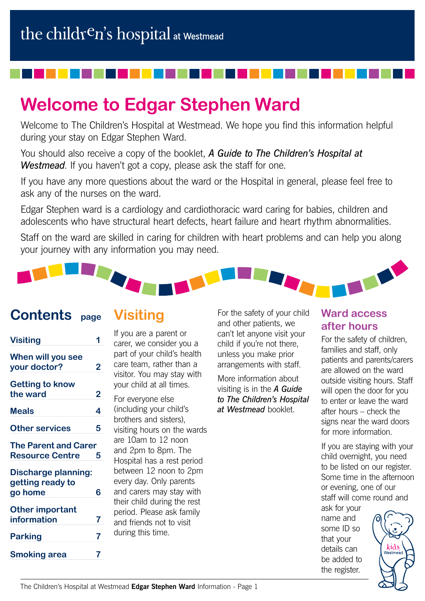# **Welcome to Edgar Stephen Ward**

Welcome to The Children's Hospital at Westmead. We hope you find this information helpful during your stay on Edgar Stephen Ward.

You should also receive a copy of the booklet, *A Guide to The Children's Hospital at Westmead*. If you haven't got a copy, please ask the staff for one.

If you have any more questions about the ward or the Hospital in general, please feel free to ask any of the nurses on the ward.

Edgar Stephen ward is a cardiology and cardiothoracic ward caring for babies, children and adolescents who have structural heart defects, heart failure and heart rhythm abnormalities.

Staff on the ward are skilled in caring for children with heart problems and can help you along your journey with any information you may need.



## **Contents page**

## **Visiting**

| <b>Visiting</b>                                           |   |
|-----------------------------------------------------------|---|
| When will you see<br>your doctor?                         | 2 |
| <b>Getting to know</b><br>the ward                        | 2 |
| <b>Meals</b>                                              | 4 |
| <b>Other services</b>                                     | 5 |
| <b>The Parent and Carer</b><br><b>Resource Centre</b>     | 5 |
| <b>Discharge planning:</b><br>getting ready to<br>go home | 6 |
| <b>Other important</b><br>information                     | 7 |
| <b>Parking</b>                                            | 7 |
| <b>Smoking area</b>                                       | 7 |

If you are a parent or carer, we consider you a part of your child's health care team, rather than a visitor. You may stay with your child at all times.

For everyone else (including your child's brothers and sisters), visiting hours on the wards are 10am to 12 noon and 2pm to 8pm. The Hospital has a rest period between 12 noon to 2pm every day. Only parents and carers may stay with their child during the rest period. Please ask family and friends not to visit during this time.

For the safety of your child and other patients, we can't let anyone visit your child if you're not there, unless you make prior arrangements with staff.

More information about visiting is in the *A Guide to The Children's Hospital at Westmead* booklet.

#### **Ward access after hours**

For the safety of children, families and staff, only patients and parents/carers are allowed on the ward outside visiting hours. Staff will open the door for you to enter or leave the ward after hours – check the signs near the ward doors for more information.

If you are staying with your child overnight, you need to be listed on our register. Some time in the afternoon or evening, one of our staff will come round and

ask for your name and some ID so that your details can be added to the register.

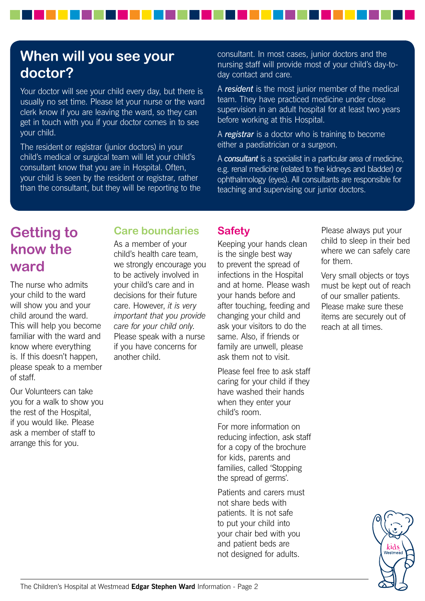## **When will you see your doctor?**

Your doctor will see your child every day, but there is usually no set time. Please let your nurse or the ward clerk know if you are leaving the ward, so they can get in touch with you if your doctor comes in to see your child.

The resident or registrar (junior doctors) in your child's medical or surgical team will let your child's consultant know that you are in Hospital. Often, your child is seen by the resident or registrar, rather than the consultant, but they will be reporting to the consultant. In most cases, junior doctors and the nursing staff will provide most of your child's day-today contact and care.

A *resident* is the most junior member of the medical team. They have practiced medicine under close supervision in an adult hospital for at least two years before working at this Hospital.

A *registrar* is a doctor who is training to become either a paediatrician or a surgeon.

A *consultant* is a specialist in a particular area of medicine, e.g. renal medicine (related to the kidneys and bladder) or ophthalmology (eyes). All consultants are responsible for teaching and supervising our junior doctors.

## **Getting to know the ward**

The nurse who admits your child to the ward will show you and your child around the ward. This will help you become familiar with the ward and know where everything is. If this doesn't happen, please speak to a member of staff.

Our Volunteers can take you for a walk to show you the rest of the Hospital, if you would like. Please ask a member of staff to arrange this for you.

### **Care boundaries**

As a member of your child's health care team, we strongly encourage you to be actively involved in your child's care and in decisions for their future care. However, *it is very important that you provide care for your child only*. Please speak with a nurse if you have concerns for another child.

### **Safety**

Keeping your hands clean is the single best way to prevent the spread of infections in the Hospital and at home. Please wash your hands before and after touching, feeding and changing your child and ask your visitors to do the same. Also, if friends or family are unwell, please ask them not to visit.

Please feel free to ask staff caring for your child if they have washed their hands when they enter your child's room.

For more information on reducing infection, ask staff for a copy of the brochure for kids, parents and families, called 'Stopping the spread of germs'.

Patients and carers must not share beds with patients. It is not safe to put your child into your chair bed with you and patient beds are not designed for adults.

Please always put your child to sleep in their bed where we can safely care for them.

Very small objects or toys must be kept out of reach of our smaller patients. Please make sure these items are securely out of reach at all times.

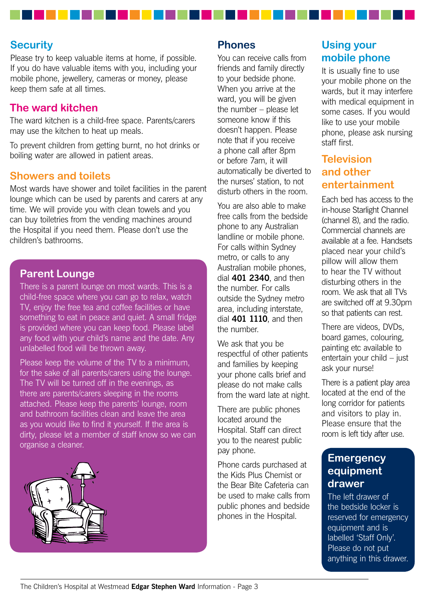#### **Security**

Please try to keep valuable items at home, if possible. If you do have valuable items with you, including your mobile phone, jewellery, cameras or money, please keep them safe at all times.

#### **The ward kitchen**

The ward kitchen is a child-free space. Parents/carers may use the kitchen to heat up meals.

To prevent children from getting burnt, no hot drinks or boiling water are allowed in patient areas.

#### **Showers and toilets**

Most wards have shower and toilet facilities in the parent lounge which can be used by parents and carers at any time. We will provide you with clean towels and you can buy toiletries from the vending machines around the Hospital if you need them. Please don't use the children's bathrooms.

#### **Parent Lounge**

There is a parent lounge on most wards. This is a child-free space where you can go to relax, watch TV, enjoy the free tea and coffee facilities or have something to eat in peace and quiet. A small fridge is provided where you can keep food. Please label any food with your child's name and the date. Any unlabelled food will be thrown away.

Please keep the volume of the TV to a minimum, for the sake of all parents/carers using the lounge. The TV will be turned off in the evenings, as there are parents/carers sleeping in the rooms attached. Please keep the parents' lounge, room and bathroom facilities clean and leave the area as you would like to find it yourself. If the area is dirty, please let a member of staff know so we can organise a cleaner.



#### **Phones**

You can receive calls from friends and family directly to your bedside phone. When you arrive at the ward, you will be given the number – please let someone know if this doesn't happen. Please note that if you receive a phone call after 8pm or before 7am, it will automatically be diverted to the nurses' station, to not disturb others in the room.

You are also able to make free calls from the bedside phone to any Australian landline or mobile phone. For calls within Sydney metro, or calls to any Australian mobile phones, dial **401 2340**, and then the number. For calls outside the Sydney metro area, including interstate, dial **401 1110**, and then the number.

We ask that you be respectful of other patients and families by keeping your phone calls brief and please do not make calls from the ward late at night.

There are public phones located around the Hospital. Staff can direct you to the nearest public pay phone.

Phone cards purchased at the Kids Plus Chemist or the Bear Bite Cafeteria can be used to make calls from public phones and bedside phones in the Hospital.

### **Using your mobile phone**

It is usually fine to use your mobile phone on the wards, but it may interfere with medical equipment in some cases. If you would like to use your mobile phone, please ask nursing staff first.

### **Television and other entertainment**

Each bed has access to the in-house Starlight Channel (channel 8), and the radio. Commercial channels are available at a fee. Handsets placed near your child's pillow will allow them to hear the TV without disturbing others in the room. We ask that all TVs are switched off at 9.30pm so that patients can rest.

There are videos, DVDs, board games, colouring, painting etc available to entertain your child – just ask your nurse!

There is a patient play area located at the end of the long corridor for patients and visitors to play in. Please ensure that the room is left tidy after use.

#### **Emergency equipment drawer**

The left drawer of the bedside locker is reserved for emergency equipment and is labelled 'Staff Only'. Please do not put anything in this drawer.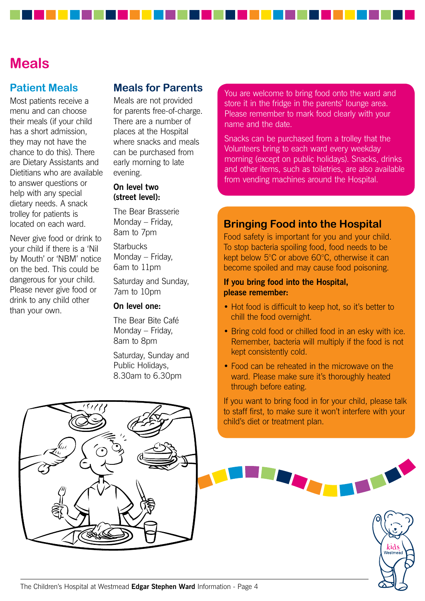### **Meals**

#### **Patient Meals**

Most patients receive a menu and can choose their meals (if your child has a short admission, they may not have the chance to do this). There are Dietary Assistants and Dietitians who are available to answer questions or help with any special dietary needs. A snack trolley for patients is located on each ward.

Never give food or drink to your child if there is a 'Nil by Mouth' or 'NBM' notice on the bed. This could be dangerous for your child. Please never give food or drink to any child other than your own.

#### **Meals for Parents**

Meals are not provided for parents free-of-charge. There are a number of places at the Hospital where snacks and meals can be purchased from early morning to late evening.

#### **On level two (street level):**

The Bear Brasserie Monday – Friday, 8am to 7pm

**Starbucks** Monday – Friday, 6am to 11pm

Saturday and Sunday, 7am to 10pm

#### **On level one:**

The Bear Bite Café Monday – Friday, 8am to 8pm

Saturday, Sunday and Public Holidays, 8.30am to 6.30pm

You are welcome to bring food onto the ward and store it in the fridge in the parents' lounge area. Please remember to mark food clearly with your name and the date.

Snacks can be purchased from a trolley that the Volunteers bring to each ward every weekday morning (except on public holidays). Snacks, drinks and other items, such as toiletries, are also available from vending machines around the Hospital.

#### **Bringing Food into the Hospital**

Food safety is important for you and your child. To stop bacteria spoiling food, food needs to be kept below 5°C or above 60°C, otherwise it can become spoiled and may cause food poisoning.

#### **If you bring food into the Hospital, please remember:**

- Hot food is difficult to keep hot, so it's better to chill the food overnight.
- Bring cold food or chilled food in an esky with ice. Remember, bacteria will multiply if the food is not kept consistently cold.
- Food can be reheated in the microwave on the ward. Please make sure it's thoroughly heated through before eating.

If you want to bring food in for your child, please talk to staff first, to make sure it won't interfere with your child's diet or treatment plan.



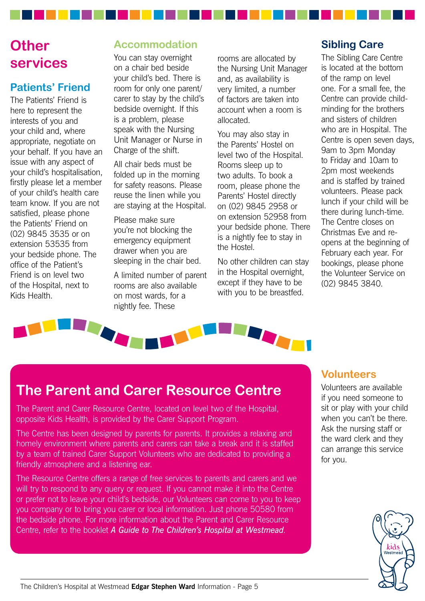## **Other services**

### **Patients' Friend**

The Patients' Friend is here to represent the interests of you and your child and, where appropriate, negotiate on your behalf. If you have an issue with any aspect of your child's hospitalisation, firstly please let a member of your child's health care team know. If you are not satisfied, please phone the Patients' Friend on (02) 9845 3535 or on extension 53535 from your bedside phone. The office of the Patient's Friend is on level two of the Hospital, next to Kids Health.

### **Accommodation**

You can stay overnight on a chair bed beside your child's bed. There is room for only one parent/ carer to stay by the child's bedside overnight. If this is a problem, please speak with the Nursing Unit Manager or Nurse in Charge of the shift.

All chair beds must be folded up in the morning for safety reasons. Please reuse the linen while you are staying at the Hospital.

Please make sure you're not blocking the emergency equipment drawer when you are sleeping in the chair bed.

A limited number of parent rooms are also available on most wards, for a nightly fee. These

rooms are allocated by the Nursing Unit Manager and, as availability is very limited, a number of factors are taken into account when a room is allocated.

You may also stay in the Parents' Hostel on level two of the Hospital. Rooms sleep up to two adults. To book a room, please phone the Parents' Hostel directly on (02) 9845 2958 or on extension 52958 from your bedside phone. There is a nightly fee to stay in the Hostel.

No other children can stay in the Hospital overnight, except if they have to be with you to be breastfed.

### **Sibling Care**

The Sibling Care Centre is located at the bottom of the ramp on level one. For a small fee, the Centre can provide childminding for the brothers and sisters of children who are in Hospital. The Centre is open seven days, 9am to 3pm Monday to Friday and 10am to 2pm most weekends and is staffed by trained volunteers. Please pack lunch if your child will be there during lunch-time. The Centre closes on Christmas Eve and reopens at the beginning of February each year. For bookings, please phone the Volunteer Service on (02) 9845 3840.



## **The Parent and Carer Resource Centre**

The Parent and Carer Resource Centre, located on level two of the Hospital, opposite Kids Health, is provided by the Carer Support Program.

The Centre has been designed by parents for parents. It provides a relaxing and homely environment where parents and carers can take a break and it is staffed by a team of trained Carer Support Volunteers who are dedicated to providing a friendly atmosphere and a listening ear.

The Resource Centre offers a range of free services to parents and carers and we will try to respond to any query or request. If you cannot make it into the Centre or prefer not to leave your child's bedside, our Volunteers can come to you to keep you company or to bring you carer or local information. Just phone 50580 from the bedside phone. For more information about the Parent and Carer Resource Centre, refer to the booklet *A Guide to The Children's Hospital at Westmead*.

#### **Volunteers**

Volunteers are available if you need someone to sit or play with your child when you can't be there. Ask the nursing staff or the ward clerk and they can arrange this service for you.

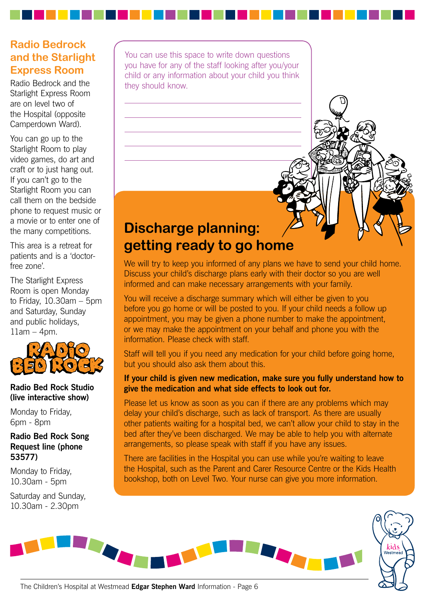### **Radio Bedrock and the Starlight Express Room**

Radio Bedrock and the Starlight Express Room are on level two of the Hospital (opposite Camperdown Ward).

You can go up to the Starlight Room to play video games, do art and craft or to just hang out. If you can't go to the Starlight Room you can call them on the bedside phone to request music or a movie or to enter one of the many competitions.

This area is a retreat for patients and is a 'doctorfree zone'.

The Starlight Express Room is open Monday to Friday, 10.30am – 5pm and Saturday, Sunday and public holidays,  $11$ am  $-$  4pm.



#### **Radio Bed Rock Studio (live interactive show)**

Monday to Friday, 6pm - 8pm

#### **Radio Bed Rock Song Request line (phone 53577)**

Monday to Friday, 10.30am - 5pm

Saturday and Sunday, 10.30am - 2.30pm

You can use this space to write down questions you have for any of the staff looking after you/your child or any information about your child you think they should know.

## **Discharge planning: getting ready to go home**

We will try to keep you informed of any plans we have to send your child home. Discuss your child's discharge plans early with their doctor so you are well informed and can make necessary arrangements with your family.

You will receive a discharge summary which will either be given to you before you go home or will be posted to you. If your child needs a follow up appointment, you may be given a phone number to make the appointment, or we may make the appointment on your behalf and phone you with the information. Please check with staff.

Staff will tell you if you need any medication for your child before going home, but you should also ask them about this.

#### **If your child is given new medication, make sure you fully understand how to give the medication and what side effects to look out for.**

Please let us know as soon as you can if there are any problems which may delay your child's discharge, such as lack of transport. As there are usually other patients waiting for a hospital bed, we can't allow your child to stay in the bed after they've been discharged. We may be able to help you with alternate arrangements, so please speak with staff if you have any issues.

There are facilities in the Hospital you can use while you're waiting to leave the Hospital, such as the Parent and Carer Resource Centre or the Kids Health bookshop, both on Level Two. Your nurse can give you more information.



The Children's Hospital at Westmead **Edgar Stephen Ward** Information - Page 6